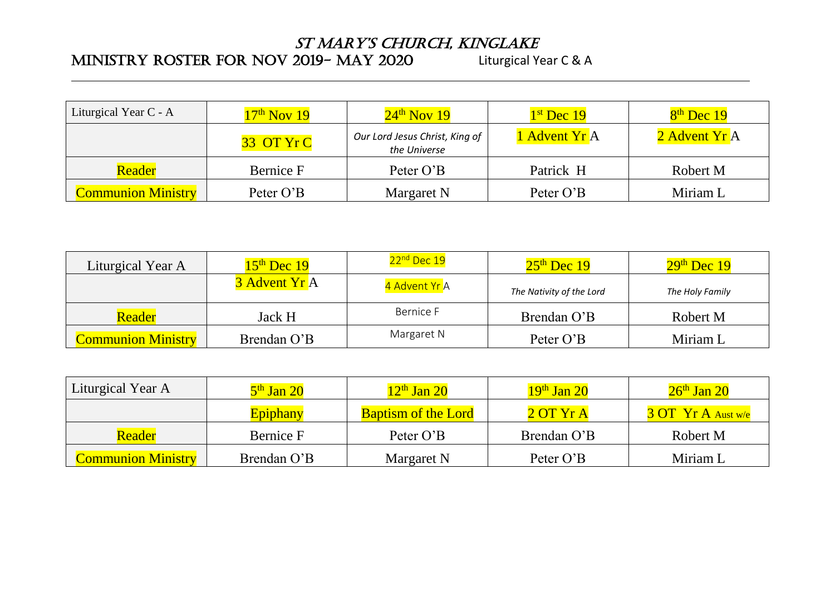## St Mary'S ChurCh, KinglaKe

## MINISTRY ROSTER FOR NOV 2019-MAY 2020 Liturgical Year C & A

| Liturgical Year C - A     | $17th$ Nov 19 | $24th$ Nov 19                                  | $1st$ Dec 19  | $8th$ Dec 19  |
|---------------------------|---------------|------------------------------------------------|---------------|---------------|
|                           | 33 OT Yr C    | Our Lord Jesus Christ, King of<br>the Universe | 1 Advent Yr A | 2 Advent Yr A |
| Reader                    | Bernice F     | Peter O'B                                      | Patrick H     | Robert M      |
| <b>Communion Ministry</b> | Peter O'B     | Margaret N                                     | Peter O'B     | Miriam L      |

| Liturgical Year A         | $15th$ Dec 19 | 22 <sup>nd</sup> Dec 19 | $25th$ Dec 19            | $29th$ Dec 19   |
|---------------------------|---------------|-------------------------|--------------------------|-----------------|
|                           | 3 Advent Yr A | 4 Advent Yr A           | The Nativity of the Lord | The Holy Family |
| Reader                    | Jack H        | Bernice F               | Brendan O'B              | Robert M        |
| <b>Communion Ministry</b> | Brendan O'B   | Margaret N              | Peter O'B                | Miriam L        |

| Liturgical Year A         | 5 <sup>th</sup> Jan 20 | 12 <sup>th</sup> Jan 20    | 19 <sup>th</sup> Jan 20 | $26th$ Jan 20      |
|---------------------------|------------------------|----------------------------|-------------------------|--------------------|
|                           | <b>Epiphany</b>        | <b>Baptism of the Lord</b> | $2$ OT Yr A             | 3 OT Yr A Aust w/e |
| <b>Reader</b>             | Bernice F              | Peter O'B                  | Brendan O'B             | Robert M           |
| <b>Communion Ministry</b> | Brendan O'B            | Margaret N                 | Peter O'B               | Miriam L           |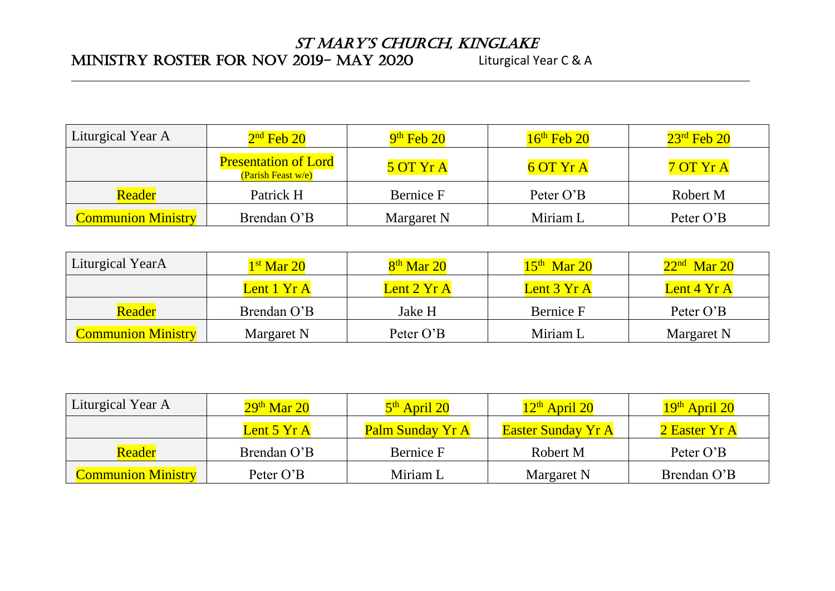## St Mary'S ChurCh, KinglaKe

## MINISTRY ROSTER FOR NOV 2019-MAY 2020 Liturgical Year C & A

| Liturgical Year A         | $2nd$ Feb 20                                      | $9th$ Feb 20 | $16th$ Feb 20 | $23^{\text{rd}}$ Feb 20 |
|---------------------------|---------------------------------------------------|--------------|---------------|-------------------------|
|                           | <b>Presentation of Lord</b><br>(Parish Feast w/e) | 5 OT Yr A    | $6$ OT $YrA$  | 7 OT Yr A               |
| Reader                    | Patrick H                                         | Bernice F    | Peter O'B     | Robert M                |
| <b>Communion Ministry</b> | Brendan O'B                                       | Margaret N   | Miriam L      | Peter O'B               |

| Liturgical YearA          | $1st$ Mar 20 | $8th$ Mar 20 | $15th$ Mar 20 | $22nd$ Mar 20 |
|---------------------------|--------------|--------------|---------------|---------------|
|                           | Lent 1 Yr A  | Lent 2 Yr A  | Lent 3 Yr A   | Lent 4 Yr A   |
| Reader                    | Brendan O'B  | Jake H       | Bernice F     | Peter O'B     |
| <b>Communion Ministry</b> | Margaret N   | Peter O'B    | Miriam L      | Margaret N    |

| Liturgical Year A         | $29th$ Mar 20 | $5th$ April 20   | $12th$ April 20           | $19th$ April 20 |
|---------------------------|---------------|------------------|---------------------------|-----------------|
|                           | Lent $5$ Yr A | Palm Sunday Yr A | <b>Easter Sunday Yr A</b> | 2 Easter Yr A   |
| <b>Reader</b>             | Brendan O'B   | Bernice F        | Robert M                  | Peter O'B       |
| <b>Communion Ministry</b> | Peter O'B     | Miriam L         | Margaret N                | Brendan O'B     |